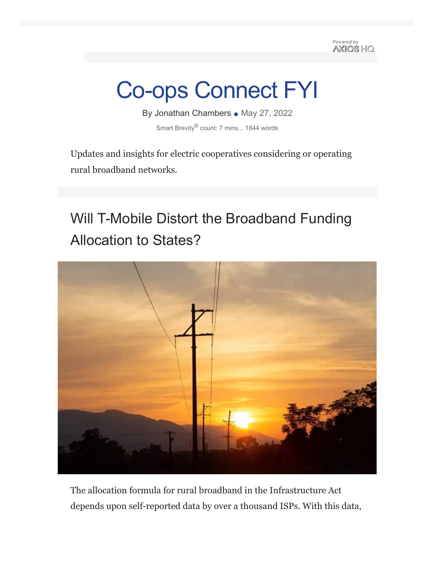Powered by **AXIOS HO** 

# Co-ops Connect FYI

By Jonathan Chambers • May 27, 2022 Smart Brevity® count: 7 mins... 1844 words

Updates and insights for electric cooperatives considering or operating rural broadband networks.

## Will T-Mobile Distort the Broadband Funding Allocation to States?



The allocation formula for rural broadband in the Infrastructure Act depends upon self-reported data by over a thousand ISPs. With this data,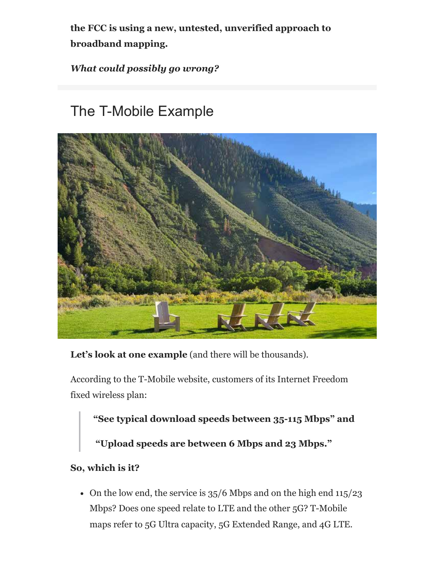**the FCC is using a new, untested, unverified approach to broadband mapping.**

### *What could possibly go wrong?*

### The T-Mobile Example



Let's look at one example (and there will be thousands).

According to the T-Mobile website, customers of its Internet Freedom fixed wireless plan:

**"See typical download speeds between 35-115 Mbps" and**

**"Upload speeds are between 6 Mbps and 23 Mbps."**

### **So, which is it?**

• On the low end, the service is  $35/6$  Mbps and on the high end  $115/23$ Mbps? Does one speed relate to LTE and the other 5G? T-Mobile maps refer to 5G Ultra capacity, 5G Extended Range, and 4G LTE.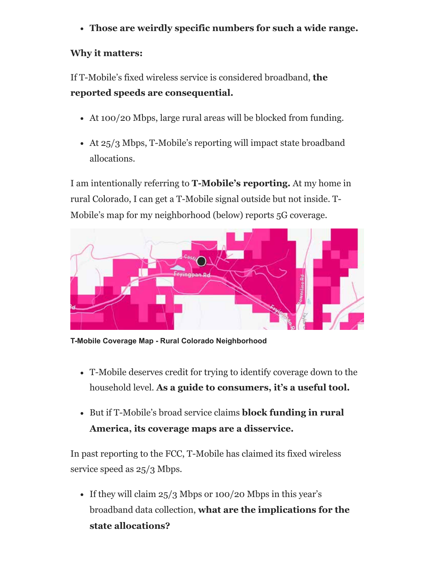**Those are weirdly specific numbers for such a wide range.**

### **Why it matters:**

If T-Mobile's fixed wireless service is considered broadband, **the reported speeds are consequential.**

- At 100/20 Mbps, large rural areas will be blocked from funding.
- At 25/3 Mbps, T-Mobile's reporting will impact state broadband allocations.

I am intentionally referring to **T-Mobile's reporting.** At my home in rural Colorado, I can get a T-Mobile signal outside but not inside. T-Mobile's map for my neighborhood (below) reports 5G coverage.



**T-Mobile Coverage Map - Rural Colorado Neighborhood**

- T-Mobile deserves credit for trying to identify coverage down to the household level. **As a guide to consumers, it's a useful tool.**
- But if T-Mobile's broad service claims **block funding in rural America, its coverage maps are a disservice.**

In past reporting to the FCC, T-Mobile has claimed its fixed wireless service speed as  $25/3$  Mbps.

• If they will claim  $25/3$  Mbps or 100/20 Mbps in this year's broadband data collection, **what are the implications for the state allocations?**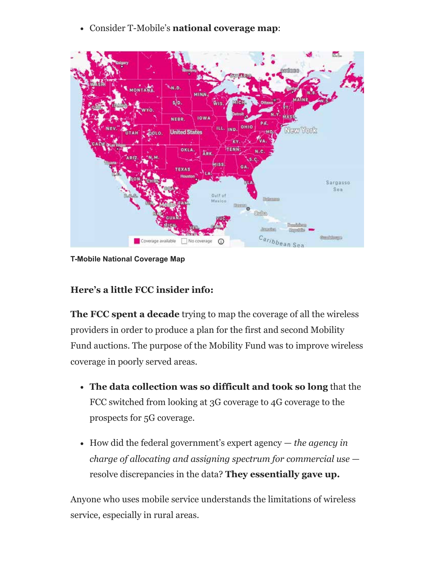Consider T-Mobile's **national coverage map**:



**T-Mobile National Coverage Map**

### **Here's a little FCC insider info:**

**The FCC spent a decade** trying to map the coverage of all the wireless providers in order to produce a plan for the first and second Mobility Fund auctions. The purpose of the Mobility Fund was to improve wireless coverage in poorly served areas.

- **The data collection was so difficult and took so long** that the FCC switched from looking at 3G coverage to 4G coverage to the prospects for 5G coverage.
- How did the federal government's expert agency *the agency in charge of allocating and assigning spectrum for commercial use* resolve discrepancies in the data? **They essentially gave up.**

Anyone who uses mobile service understands the limitations of wireless service, especially in rural areas.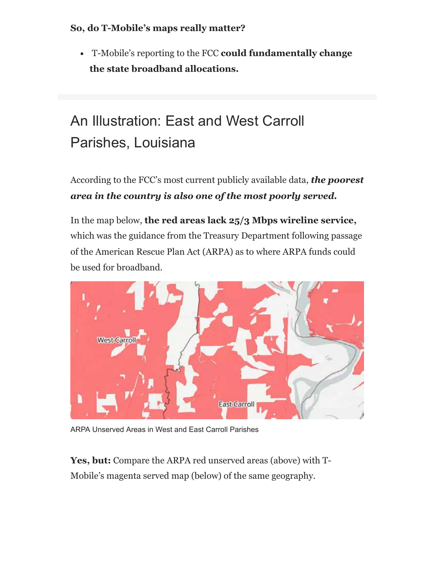#### **So, do T-Mobile's maps really matter?**

T-Mobile's reporting to the FCC **could fundamentally change the state broadband allocations.**

# An Illustration: East and West Carroll Parishes, Louisiana

According to the FCC's most current publicly available data, *the poorest area in the country is also one of the most poorly served.*

In the map below, **the red areas lack 25/3 Mbps wireline service,** which was the guidance from the Treasury Department following passage of the American Rescue Plan Act (ARPA) as to where ARPA funds could be used for broadband.



ARPA Unserved Areas in West and East Carroll Parishes

**Yes, but:** Compare the ARPA red unserved areas (above) with T-Mobile's magenta served map (below) of the same geography.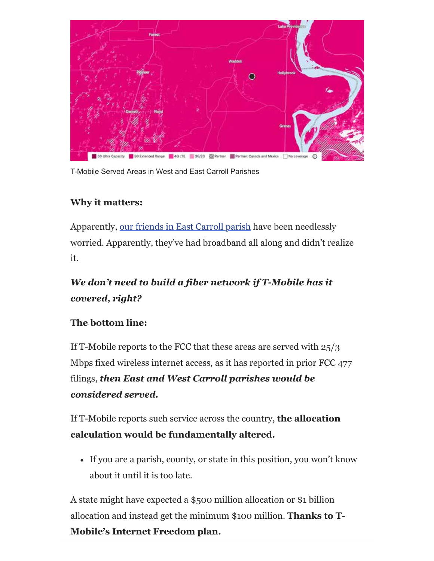

T-Mobile Served Areas in West and East Carroll Parishes

### **Why it matters:**

Apparently, our friends in East Carroll parish have been needlessly worried. Apparently, they've had broadband all along and didn't realize it.

### *We don't need to build a fiber network if T-Mobile has it covered, right?*

### **The bottom line:**

If T-Mobile reports to the FCC that these areas are served with 25/3 Mbps fixed wireless internet access, as it has reported in prior FCC 477 filings, *then East and West Carroll parishes would be considered served.*

If T-Mobile reports such service across the country, **the allocation calculation would be fundamentally altered.**

If you are a parish, county, or state in this position, you won't know about it until it is too late.

A state might have expected a \$500 million allocation or \$1 billion allocation and instead get the minimum \$100 million. **Thanks to T-Mobile's Internet Freedom plan.**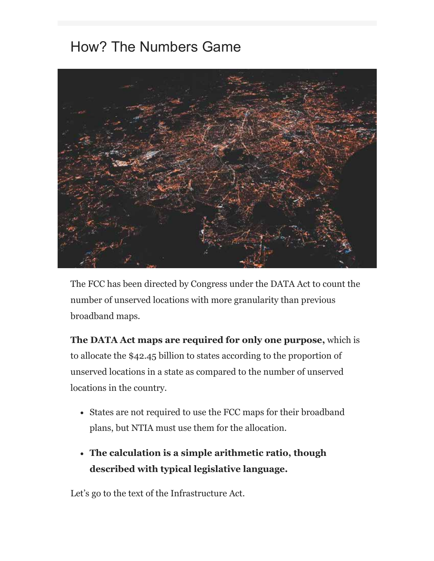### How? The Numbers Game



The FCC has been directed by Congress under the DATA Act to count the number of unserved locations with more granularity than previous broadband maps.

**The DATA Act maps are required for only one purpose,** which is to allocate the \$42.45 billion to states according to the proportion of unserved locations in a state as compared to the number of unserved locations in the country.

- States are not required to use the FCC maps for their broadband plans, but NTIA must use them for the allocation.
- **The calculation is a simple arithmetic ratio, though described with typical legislative language.**

Let's go to the text of the Infrastructure Act.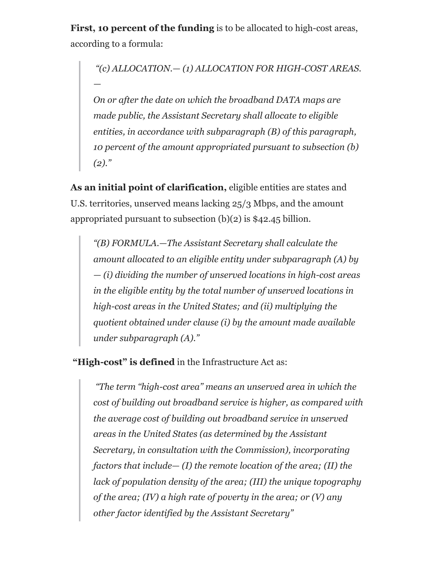**First, 10 percent of the funding** is to be allocated to high-cost areas, according to a formula:

*"(c) ALLOCATION.— (1) ALLOCATION FOR HIGH-COST AREAS. —* 

*On or after the date on which the broadband DATA maps are made public, the Assistant Secretary shall allocate to eligible entities, in accordance with subparagraph (B) of this paragraph, 10 percent of the amount appropriated pursuant to subsection (b) (2)."*

**As an initial point of clarification,** eligible entities are states and U.S. territories, unserved means lacking 25/3 Mbps, and the amount appropriated pursuant to subsection (b)(2) is \$42.45 billion.

*"(B) FORMULA.—The Assistant Secretary shall calculate the amount allocated to an eligible entity under subparagraph (A) by — (i) dividing the number of unserved locations in high-cost areas in the eligible entity by the total number of unserved locations in high-cost areas in the United States; and (ii) multiplying the quotient obtained under clause (i) by the amount made available under subparagraph (A)."*

**"High-cost" is defined** in the Infrastructure Act as:

*"The term ''high-cost area'' means an unserved area in which the cost of building out broadband service is higher, as compared with the average cost of building out broadband service in unserved areas in the United States (as determined by the Assistant Secretary, in consultation with the Commission), incorporating factors that include— (I) the remote location of the area; (II) the lack of population density of the area; (III) the unique topography of the area; (IV) a high rate of poverty in the area; or (V) any other factor identified by the Assistant Secretary"*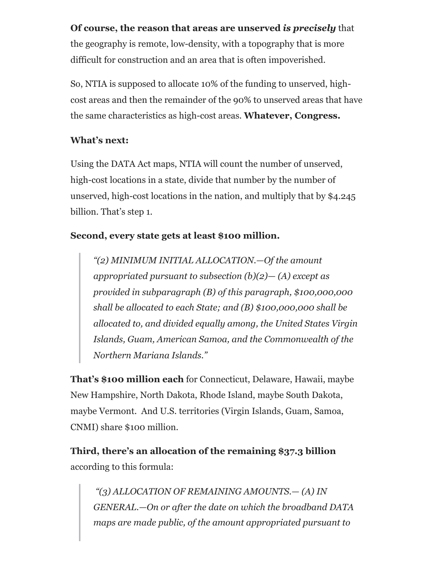### **Of course, the reason that areas are unserved** *is precisely* that

the geography is remote, low-density, with a topography that is more difficult for construction and an area that is often impoverished.

So, NTIA is supposed to allocate 10% of the funding to unserved, highcost areas and then the remainder of the 90% to unserved areas that have the same characteristics as high-cost areas. **Whatever, Congress.**

#### **What's next:**

Using the DATA Act maps, NTIA will count the number of unserved, high-cost locations in a state, divide that number by the number of unserved, high-cost locations in the nation, and multiply that by \$4.245 billion. That's step 1.

### **Second, every state gets at least \$100 million.**

*"(2) MINIMUM INITIAL ALLOCATION.—Of the amount appropriated pursuant to subsection (b)(2)— (A) except as provided in subparagraph (B) of this paragraph, \$100,000,000 shall be allocated to each State; and (B) \$100,000,000 shall be allocated to, and divided equally among, the United States Virgin Islands, Guam, American Samoa, and the Commonwealth of the Northern Mariana Islands."*

**That's \$100 million each** for Connecticut, Delaware, Hawaii, maybe New Hampshire, North Dakota, Rhode Island, maybe South Dakota, maybe Vermont. And U.S. territories (Virgin Islands, Guam, Samoa, CNMI) share \$100 million.

**Third, there's an allocation of the remaining \$37.3 billion** according to this formula:

*"(3) ALLOCATION OF REMAINING AMOUNTS.— (A) IN GENERAL.—On or after the date on which the broadband DATA maps are made public, of the amount appropriated pursuant to*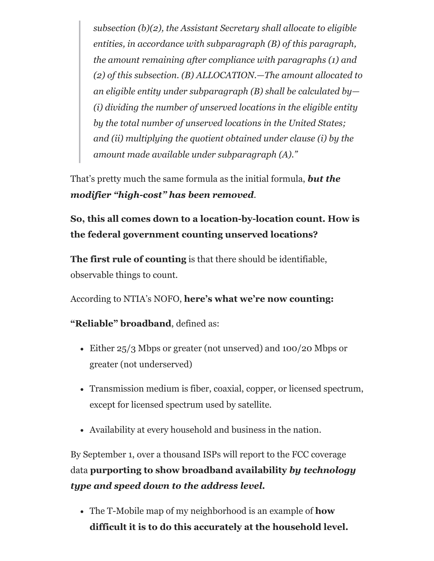*subsection (b)(2), the Assistant Secretary shall allocate to eligible entities, in accordance with subparagraph (B) of this paragraph, the amount remaining after compliance with paragraphs (1) and (2) of this subsection. (B) ALLOCATION.—The amount allocated to an eligible entity under subparagraph (B) shall be calculated by— (i) dividing the number of unserved locations in the eligible entity by the total number of unserved locations in the United States; and (ii) multiplying the quotient obtained under clause (i) by the amount made available under subparagraph (A)."*

That's pretty much the same formula as the initial formula, *but the modifier "high-cost" has been removed*.

**So, this all comes down to a location-by-location count. How is the federal government counting unserved locations?**

**The first rule of counting** is that there should be identifiable, observable things to count.

According to NTIA's NOFO, **here's what we're now counting:**

**"Reliable" broadband**, defined as:

- Either 25/3 Mbps or greater (not unserved) and 100/20 Mbps or greater (not underserved)
- Transmission medium is fiber, coaxial, copper, or licensed spectrum, except for licensed spectrum used by satellite.
- Availability at every household and business in the nation.

By September 1, over a thousand ISPs will report to the FCC coverage data **purporting to show broadband availability** *by technology type and speed down to the address level.*

The T-Mobile map of my neighborhood is an example of **how difficult it is to do this accurately at the household level.**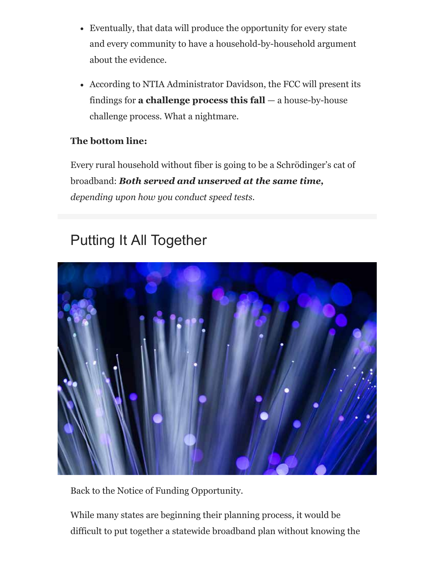- Eventually, that data will produce the opportunity for every state and every community to have a household-by-household argument about the evidence.
- According to NTIA Administrator Davidson, the FCC will present its findings for **a challenge process this fall** — a house-by-house challenge process. What a nightmare.

### **The bottom line:**

Every rural household without fiber is going to be a Schrödinger's cat of broadband: *Both served and unserved at the same time, depending upon how you conduct speed tests.*

### Putting It All Together



Back to the Notice of Funding Opportunity.

While many states are beginning their planning process, it would be difficult to put together a statewide broadband plan without knowing the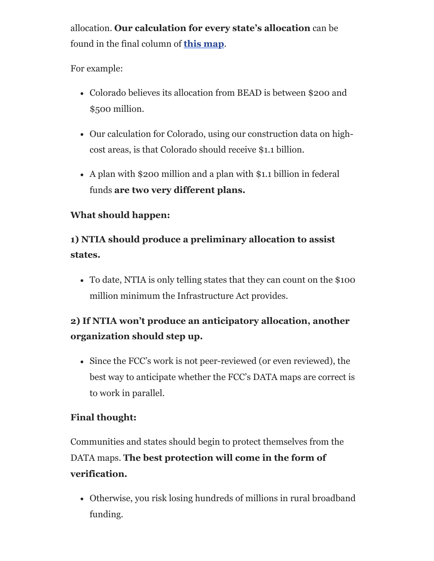allocation. **Our calculation for every state's allocation** can be found in the final column of **this map**.

For example:

- Colorado believes its allocation from BEAD is between \$200 and \$500 million.
- Our calculation for Colorado, using our construction data on highcost areas, is that Colorado should receive \$1.1 billion.
- A plan with \$200 million and a plan with \$1.1 billion in federal funds **are two very different plans.**

### **What should happen:**

### **1) NTIA should produce a preliminary allocation to assist states.**

To date, NTIA is only telling states that they can count on the \$100 million minimum the Infrastructure Act provides.

### **2) If NTIA won't produce an anticipatory allocation, another organization should step up.**

Since the FCC's work is not peer-reviewed (or even reviewed), the best way to anticipate whether the FCC's DATA maps are correct is to work in parallel.

### **Final thought:**

Communities and states should begin to protect themselves from the DATA maps. **The best protection will come in the form of verification.**

• Otherwise, you risk losing hundreds of millions in rural broadband funding.